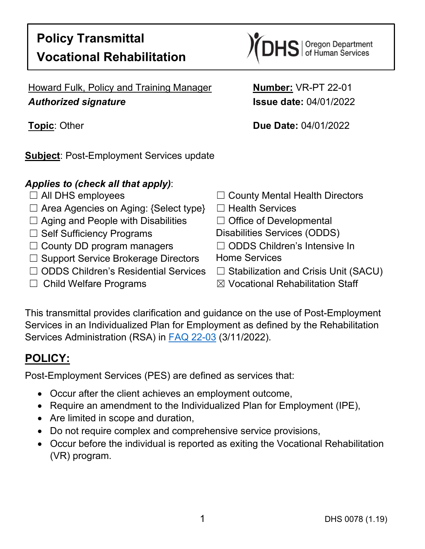

Howard Fulk, Policy and Training Manager **Number:** VR-PT 22-01 *Authorized signature* **Issue date:** 04/01/2022

**Subject**: Post-Employment Services update

### *Applies to (check all that apply)*:

- 
- ☐ Area Agencies on Aging: {Select type} ☐ Health Services
- ☐ Aging and People with Disabilities ☐ Office of Developmental
- 
- ☐ County DD program managers ☐ ODDS Children's Intensive In
- □ Support Service Brokerage Directors Home Services
- ☐ ODDS Children's Residential Services ☐ Stabilization and Crisis Unit (SACU)
- 

**Topic**: Other **Due Date:** 04/01/2022

- ☐ All DHS employees ☐ County Mental Health Directors
	-
	-
- □ Self Sufficiency Programs Disabilities Services (ODDS)
	-
	-
	-
- ☐ Child Welfare Programs ☒ Vocational Rehabilitation Staff

This transmittal provides clarification and guidance on the use of Post-Employment Services in an Individualized Plan for Employment as defined by the Rehabilitation Services Administration (RSA) in [FAQ 22-03](https://rsa.ed.gov/sites/default/files/subregulatory/RSA-FAQ-22-03_0.pdf) (3/11/2022).

# **POLICY:**

Post-Employment Services (PES) are defined as services that:

- Occur after the client achieves an employment outcome,
- Require an amendment to the Individualized Plan for Employment (IPE),
- Are limited in scope and duration,
- Do not require complex and comprehensive service provisions,
- Occur before the individual is reported as exiting the Vocational Rehabilitation (VR) program.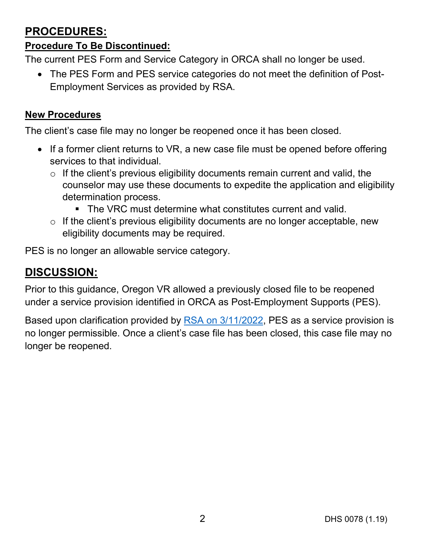## **PROCEDURES:**

#### **Procedure To Be Discontinued:**

The current PES Form and Service Category in ORCA shall no longer be used.

• The PES Form and PES service categories do not meet the definition of Post-Employment Services as provided by RSA.

#### **New Procedures**

The client's case file may no longer be reopened once it has been closed.

- If a former client returns to VR, a new case file must be opened before offering services to that individual.
	- $\circ$  If the client's previous eligibility documents remain current and valid, the counselor may use these documents to expedite the application and eligibility determination process.
		- The VRC must determine what constitutes current and valid.
	- o If the client's previous eligibility documents are no longer acceptable, new eligibility documents may be required.

PES is no longer an allowable service category.

# **DISCUSSION:**

Prior to this guidance, Oregon VR allowed a previously closed file to be reopened under a service provision identified in ORCA as Post-Employment Supports (PES).

Based upon clarification provided by **RSA** on 3/11/2022, PES as a service provision is no longer permissible. Once a client's case file has been closed, this case file may no longer be reopened.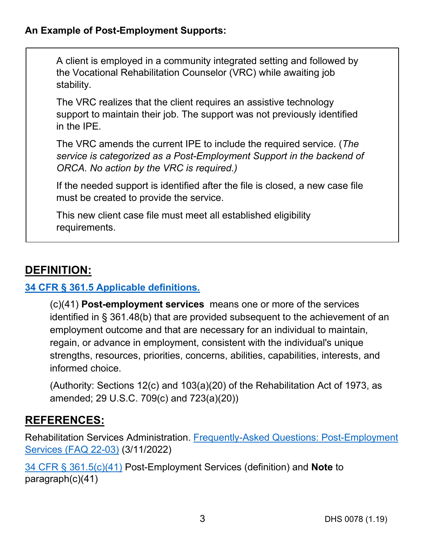#### **An Example of Post-Employment Supports:**

A client is employed in a community integrated setting and followed by the Vocational Rehabilitation Counselor (VRC) while awaiting job stability.

The VRC realizes that the client requires an assistive technology support to maintain their job. The support was not previously identified in the IPE.

The VRC amends the current IPE to include the required service. (*The service is categorized as a Post-Employment Support in the backend of ORCA. No action by the VRC is required.)*

If the needed support is identified after the file is closed, a new case file must be created to provide the service.

This new client case file must meet all established eligibility requirements.

### **DEFINITION:**

#### **[34 CFR § 361.5 Applicable definitions.](https://www.ecfr.gov/current/title-34/subtitle-B/chapter-III/part-361#p-361.5(c)(41))**

(c)(41) **Post-employment services** means one or more of the services identified in § 361.48(b) that are provided subsequent to the achievement of an employment outcome and that are necessary for an individual to maintain, regain, or advance in employment, consistent with the individual's unique strengths, resources, priorities, concerns, abilities, capabilities, interests, and informed choice.

(Authority: Sections 12(c) and 103(a)(20) of the Rehabilitation Act of 1973, as amended; 29 U.S.C. 709(c) and 723(a)(20))

### <span id="page-2-0"></span>**REFERENCES:**

Rehabilitation Services Administration. [Frequently-Asked Questions: Post-Employment](https://gcc02.safelinks.protection.outlook.com/?url=https%3A%2F%2Frsa.ed.gov%2Fsites%2Fdefault%2Ffiles%2Fsubregulatory%2FRSA-FAQ-22-03_0.pdf&data=04%7C01%7CROBIN.L.BRANDT%40dhsoha.state.or.us%7Cc8def3a8272b4171d9f908da06712359%7C658e63e88d39499c8f4813adc9452f4c%7C0%7C0%7C637829380664568977%7CUnknown%7CTWFpbGZsb3d8eyJWIjoiMC4wLjAwMDAiLCJQIjoiV2luMzIiLCJBTiI6Ik1haWwiLCJXVCI6Mn0%3D%7C3000&sdata=RkinTKpZ%2FyiWzNjRPpDO%2FWAeLz6794D6V1HWSUJObcU%3D&reserved=0)  [Services \(FAQ 22-03\)](https://gcc02.safelinks.protection.outlook.com/?url=https%3A%2F%2Frsa.ed.gov%2Fsites%2Fdefault%2Ffiles%2Fsubregulatory%2FRSA-FAQ-22-03_0.pdf&data=04%7C01%7CROBIN.L.BRANDT%40dhsoha.state.or.us%7Cc8def3a8272b4171d9f908da06712359%7C658e63e88d39499c8f4813adc9452f4c%7C0%7C0%7C637829380664568977%7CUnknown%7CTWFpbGZsb3d8eyJWIjoiMC4wLjAwMDAiLCJQIjoiV2luMzIiLCJBTiI6Ik1haWwiLCJXVCI6Mn0%3D%7C3000&sdata=RkinTKpZ%2FyiWzNjRPpDO%2FWAeLz6794D6V1HWSUJObcU%3D&reserved=0) (3/11/2022)

[34 CFR § 361.5\(c\)\(41\)](https://www.ecfr.gov/current/title-34/subtitle-B/chapter-III/part-361#p-361.5(c)(41)) Post-Employment Services (definition) and **Note** to paragraph(c)(41)